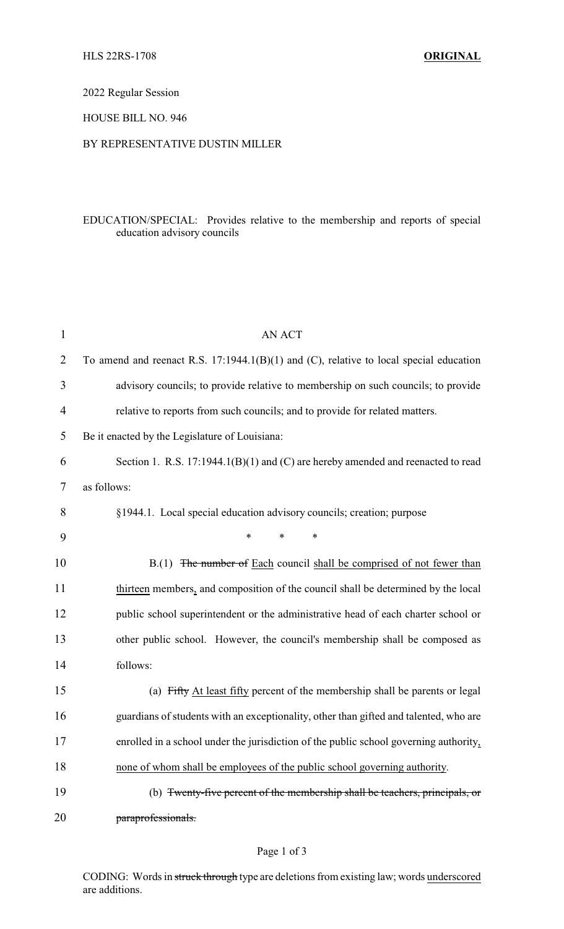2022 Regular Session

HOUSE BILL NO. 946

## BY REPRESENTATIVE DUSTIN MILLER

## EDUCATION/SPECIAL: Provides relative to the membership and reports of special education advisory councils

| $\mathbf{1}$   | AN ACT                                                                                   |  |  |
|----------------|------------------------------------------------------------------------------------------|--|--|
| $\overline{2}$ | To amend and reenact R.S. $17:1944.1(B)(1)$ and (C), relative to local special education |  |  |
| 3              | advisory councils; to provide relative to membership on such councils; to provide        |  |  |
| $\overline{4}$ | relative to reports from such councils; and to provide for related matters.              |  |  |
| 5              | Be it enacted by the Legislature of Louisiana:                                           |  |  |
| 6              | Section 1. R.S. $17:1944.1(B)(1)$ and (C) are hereby amended and reenacted to read       |  |  |
| 7              | as follows:                                                                              |  |  |
| 8              | §1944.1. Local special education advisory councils; creation; purpose                    |  |  |
| 9              | $\ast$<br>$\ast$<br>$\ast$                                                               |  |  |
| 10             | B.(1) The number of Each council shall be comprised of not fewer than                    |  |  |
| 11             | thirteen members, and composition of the council shall be determined by the local        |  |  |
| 12             | public school superintendent or the administrative head of each charter school or        |  |  |
| 13             | other public school. However, the council's membership shall be composed as              |  |  |
| 14             | follows:                                                                                 |  |  |
| 15             | (a) Fifty At least fifty percent of the membership shall be parents or legal             |  |  |
| 16             | guardians of students with an exceptionality, other than gifted and talented, who are    |  |  |
| 17             | enrolled in a school under the jurisdiction of the public school governing authority,    |  |  |
| 18             | none of whom shall be employees of the public school governing authority.                |  |  |
| 19             | (b) <del>Twenty-five percent of the membership shall be teachers, principals, or</del>   |  |  |
| 20             | paraprofessionals.                                                                       |  |  |

CODING: Words in struck through type are deletions from existing law; words underscored are additions.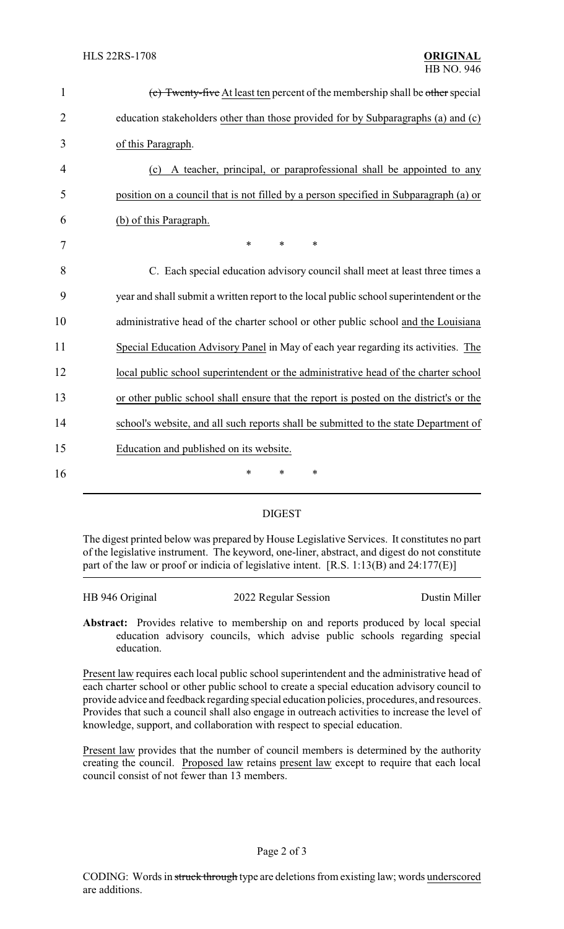| $\mathbf{1}$   | (c) Twenty-five At least ten percent of the membership shall be other special           |
|----------------|-----------------------------------------------------------------------------------------|
| $\overline{2}$ | education stakeholders other than those provided for by Subparagraphs (a) and (c)       |
| 3              | of this Paragraph.                                                                      |
| 4              | A teacher, principal, or paraprofessional shall be appointed to any<br>(c)              |
| 5              | position on a council that is not filled by a person specified in Subparagraph (a) or   |
| 6              | (b) of this Paragraph.                                                                  |
| 7              | *<br>$\ast$<br>$\ast$                                                                   |
| 8              | C. Each special education advisory council shall meet at least three times a            |
| 9              | year and shall submit a written report to the local public school superintendent or the |
| 10             | administrative head of the charter school or other public school and the Louisiana      |
| 11             | Special Education Advisory Panel in May of each year regarding its activities. The      |
| 12             | local public school superintendent or the administrative head of the charter school     |
| 13             | or other public school shall ensure that the report is posted on the district's or the  |
| 14             | school's website, and all such reports shall be submitted to the state Department of    |
| 15             | Education and published on its website.                                                 |
| 16             | *<br>*<br>∗                                                                             |
|                |                                                                                         |

## DIGEST

The digest printed below was prepared by House Legislative Services. It constitutes no part of the legislative instrument. The keyword, one-liner, abstract, and digest do not constitute part of the law or proof or indicia of legislative intent. [R.S. 1:13(B) and 24:177(E)]

| HB 946 Original | 2022 Regular Session | Dustin Miller |
|-----------------|----------------------|---------------|
|                 |                      |               |

**Abstract:** Provides relative to membership on and reports produced by local special education advisory councils, which advise public schools regarding special education.

Present law requires each local public school superintendent and the administrative head of each charter school or other public school to create a special education advisory council to provide advice and feedback regarding special education policies, procedures, and resources. Provides that such a council shall also engage in outreach activities to increase the level of knowledge, support, and collaboration with respect to special education.

Present law provides that the number of council members is determined by the authority creating the council. Proposed law retains present law except to require that each local council consist of not fewer than 13 members.